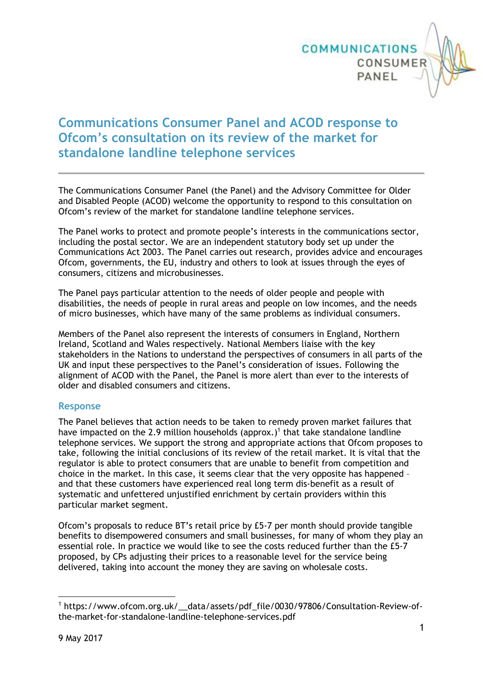

# **Communications Consumer Panel and ACOD response to Ofcom's consultation on its review of the market for standalone landline telephone services**

The Communications Consumer Panel (the Panel) and the Advisory Committee for Older and Disabled People (ACOD) welcome the opportunity to respond to this consultation on Ofcom's review of the market for standalone landline telephone services.

The Panel works to protect and promote people's interests in the communications sector, including the postal sector. We are an independent statutory body set up under the Communications Act 2003. The Panel carries out research, provides advice and encourages Ofcom, governments, the EU, industry and others to look at issues through the eyes of consumers, citizens and microbusinesses.

The Panel pays particular attention to the needs of older people and people with disabilities, the needs of people in rural areas and people on low incomes, and the needs of micro businesses, which have many of the same problems as individual consumers.

Members of the Panel also represent the interests of consumers in England, Northern Ireland, Scotland and Wales respectively. National Members liaise with the key stakeholders in the Nations to understand the perspectives of consumers in all parts of the UK and input these perspectives to the Panel's consideration of issues. Following the alignment of ACOD with the Panel, the Panel is more alert than ever to the interests of older and disabled consumers and citizens.

### **Response**

The Panel believes that action needs to be taken to remedy proven market failures that have impacted on the 2.9 million households (approx.)<sup>1</sup> that take standalone landline telephone services. We support the strong and appropriate actions that Ofcom proposes to take, following the initial conclusions of its review of the retail market. It is vital that the regulator is able to protect consumers that are unable to benefit from competition and choice in the market. In this case, it seems clear that the very opposite has happened – and that these customers have experienced real long term dis-benefit as a result of systematic and unfettered unjustified enrichment by certain providers within this particular market segment.

Ofcom's proposals to reduce BT's retail price by £5-7 per month should provide tangible benefits to disempowered consumers and small businesses, for many of whom they play an essential role. In practice we would like to see the costs reduced further than the £5-7 proposed, by CPs adjusting their prices to a reasonable level for the service being delivered, taking into account the money they are saving on wholesale costs.

<sup>1</sup> <sup>1</sup> https://www.ofcom.org.uk/\_\_data/assets/pdf\_file/0030/97806/Consultation-Review-ofthe-market-for-standalone-landline-telephone-services.pdf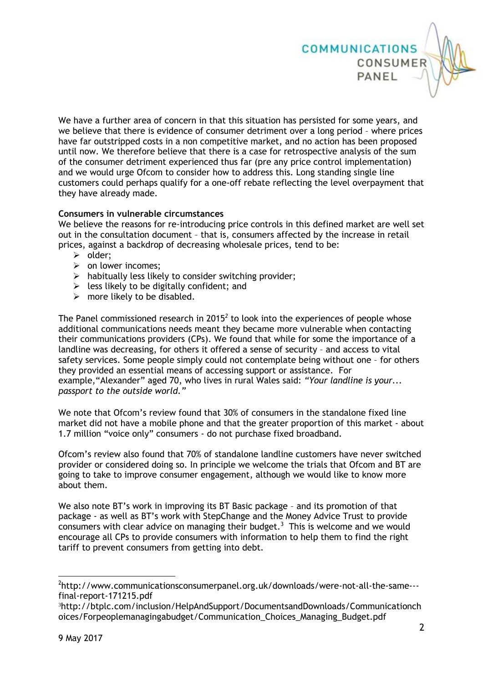

We have a further area of concern in that this situation has persisted for some years, and we believe that there is evidence of consumer detriment over a long period – where prices have far outstripped costs in a non competitive market, and no action has been proposed until now. We therefore believe that there is a case for retrospective analysis of the sum of the consumer detriment experienced thus far (pre any price control implementation) and we would urge Ofcom to consider how to address this. Long standing single line customers could perhaps qualify for a one-off rebate reflecting the level overpayment that they have already made.

#### **Consumers in vulnerable circumstances**

We believe the reasons for re-introducing price controls in this defined market are well set out in the consultation document – that is, consumers affected by the increase in retail prices, against a backdrop of decreasing wholesale prices, tend to be:

- $\triangleright$  older:
- $\triangleright$  on lower incomes;
- $\triangleright$  habitually less likely to consider switching provider;
- $\triangleright$  less likely to be digitally confident; and
- $\triangleright$  more likely to be disabled.

The Panel commissioned research in 2015<sup>2</sup> to look into the experiences of people whose additional communications needs meant they became more vulnerable when contacting their communications providers (CPs). We found that while for some the importance of a landline was decreasing, for others it offered a sense of security – and access to vital safety services. Some people simply could not contemplate being without one – for others they provided an essential means of accessing support or assistance. For example,"Alexander" aged 70, who lives in rural Wales said: *"Your landline is your... passport to the outside world."*

We note that Ofcom's review found that 30% of consumers in the standalone fixed line market did not have a mobile phone and that the greater proportion of this market - about 1.7 million "voice only" consumers - do not purchase fixed broadband.

Ofcom's review also found that 70% of standalone landline customers have never switched provider or considered doing so. In principle we welcome the trials that Ofcom and BT are going to take to improve consumer engagement, although we would like to know more about them.

We also note BT's work in improving its BT Basic package – and its promotion of that package - as well as BT's work with StepChange and the Money Advice Trust to provide consumers with clear advice on managing their budget.<sup>3</sup> This is welcome and we would encourage all CPs to provide consumers with information to help them to find the right tariff to prevent consumers from getting into debt.

1

<sup>&</sup>lt;sup>2</sup>http://www.communicationsconsumerpanel.org.uk/downloads/were-not-all-the-same--final-report-171215.pdf

<sup>3</sup>http://btplc.com/inclusion/HelpAndSupport/DocumentsandDownloads/Communicationch oices/Forpeoplemanagingabudget/Communication\_Choices\_Managing\_Budget.pdf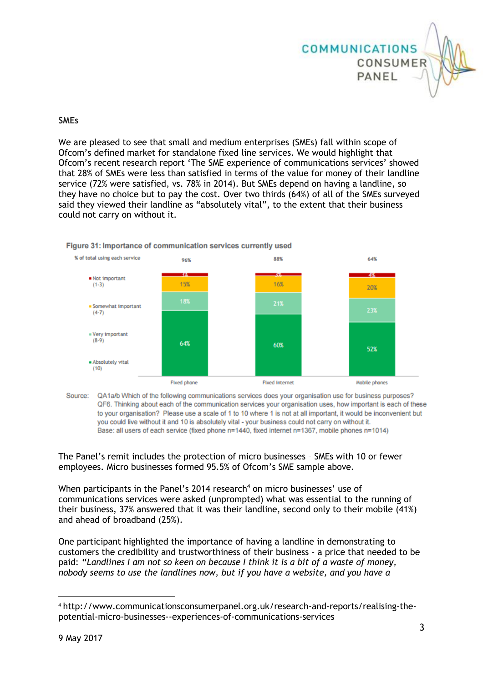

# **SMEs**

We are pleased to see that small and medium enterprises (SMEs) fall within scope of Ofcom's defined market for standalone fixed line services. We would highlight that Ofcom's recent research report 'The SME experience of communications services' showed that 28% of SMEs were less than satisfied in terms of the value for money of their landline service (72% were satisfied, vs. 78% in 2014). But SMEs depend on having a landline, so they have no choice but to pay the cost. Over two thirds (64%) of all of the SMEs surveyed said they viewed their landline as "absolutely vital", to the extent that their business could not carry on without it.



#### Figure 31: Importance of communication services currently used

Source: QA1a/b Which of the following communications services does your organisation use for business purposes? QF6. Thinking about each of the communication services your organisation uses, how important is each of these to your organisation? Please use a scale of 1 to 10 where 1 is not at all important, it would be inconvenient but you could live without it and 10 is absolutely vital - your business could not carry on without it. Base: all users of each service (fixed phone n=1440, fixed internet n=1367, mobile phones n=1014)

The Panel's remit includes the protection of micro businesses – SMEs with 10 or fewer employees. Micro businesses formed 95.5% of Ofcom's SME sample above.

When participants in the Panel's 2014 research<sup>4</sup> on micro businesses' use of communications services were asked (unprompted) what was essential to the running of their business, 37% answered that it was their landline, second only to their mobile (41%) and ahead of broadband (25%).

One participant highlighted the importance of having a landline in demonstrating to customers the credibility and trustworthiness of their business – a price that needed to be paid: *"Landlines I am not so keen on because I think it is a bit of a waste of money, nobody seems to use the landlines now, but if you have a website, and you have a* 

1

<sup>4</sup> http://www.communicationsconsumerpanel.org.uk/research-and-reports/realising-thepotential-micro-businesses--experiences-of-communications-services